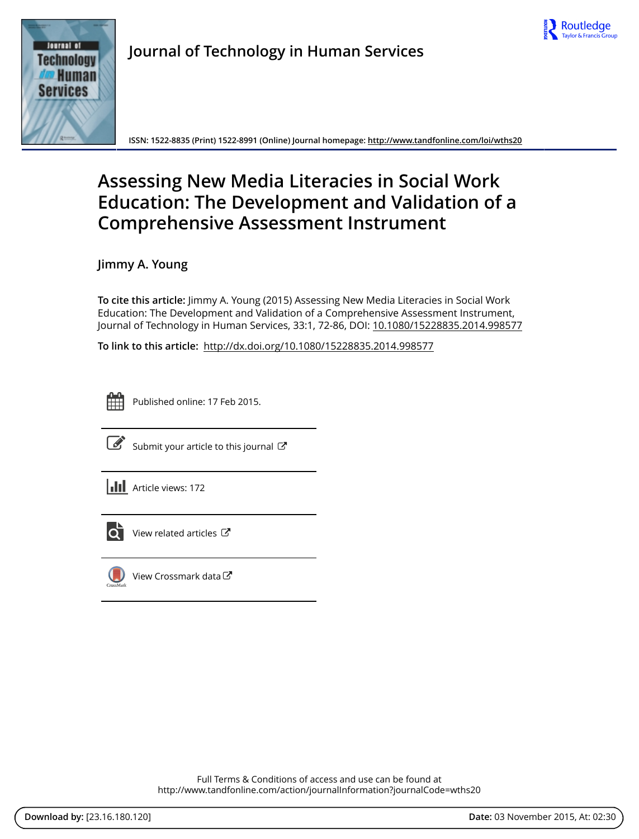



**Journal of Technology in Human Services**

**ISSN: 1522-8835 (Print) 1522-8991 (Online) Journal homepage:<http://www.tandfonline.com/loi/wths20>**

# **Assessing New Media Literacies in Social Work Education: The Development and Validation of a Comprehensive Assessment Instrument**

**Jimmy A. Young**

**To cite this article:** Jimmy A. Young (2015) Assessing New Media Literacies in Social Work Education: The Development and Validation of a Comprehensive Assessment Instrument, Journal of Technology in Human Services, 33:1, 72-86, DOI: [10.1080/15228835.2014.998577](http://www.tandfonline.com/action/showCitFormats?doi=10.1080/15228835.2014.998577)

**To link to this article:** <http://dx.doi.org/10.1080/15228835.2014.998577>



Published online: 17 Feb 2015.



[Submit your article to this journal](http://www.tandfonline.com/action/authorSubmission?journalCode=wths20&page=instructions)  $\mathbb{Z}$ 



 $\overrightarrow{Q}$  [View related articles](http://www.tandfonline.com/doi/mlt/10.1080/15228835.2014.998577)  $\overrightarrow{C}$ 



[View Crossmark data](http://crossmark.crossref.org/dialog/?doi=10.1080/15228835.2014.998577&domain=pdf&date_stamp=2015-02-17)  $\sigma$ 

Full Terms & Conditions of access and use can be found at <http://www.tandfonline.com/action/journalInformation?journalCode=wths20>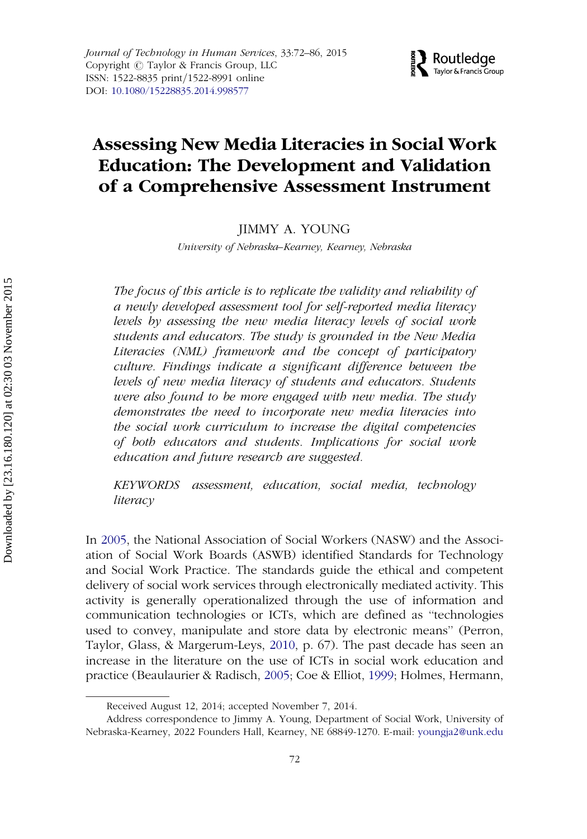# $\bigtriangledown$  Routledge Taylor & Francis Group

# Assessing New Media Literacies in Social Work Education: The Development and Validation of a Comprehensive Assessment Instrument

JIMMY A. YOUNG

University of Nebraska–Kearney, Kearney, Nebraska

The focus of this article is to replicate the validity and reliability of a newly developed assessment tool for self-reported media literacy levels by assessing the new media literacy levels of social work students and educators. The study is grounded in the New Media Literacies (NML) framework and the concept of participatory culture. Findings indicate a significant difference between the levels of new media literacy of students and educators. Students were also found to be more engaged with new media. The study demonstrates the need to incorporate new media literacies into the social work curriculum to increase the digital competencies of both educators and students. Implications for social work education and future research are suggested.

KEYWORDS assessment, education, social media, technology literacy

In [2005,](#page-14-0) the National Association of Social Workers (NASW) and the Association of Social Work Boards (ASWB) identified Standards for Technology and Social Work Practice. The standards guide the ethical and competent delivery of social work services through electronically mediated activity. This activity is generally operationalized through the use of information and communication technologies or ICTs, which are defined as ''technologies used to convey, manipulate and store data by electronic means'' (Perron, Taylor, Glass, & Margerum-Leys, [2010](#page-14-0), p. 67). The past decade has seen an increase in the literature on the use of ICTs in social work education and practice (Beaulaurier & Radisch, [2005;](#page-13-0) Coe & Elliot, [1999](#page-13-0); Holmes, Hermann,

Received August 12, 2014; accepted November 7, 2014.

Address correspondence to Jimmy A. Young, Department of Social Work, University of Nebraska-Kearney, 2022 Founders Hall, Kearney, NE 68849-1270. E-mail: youngja2@unk.edu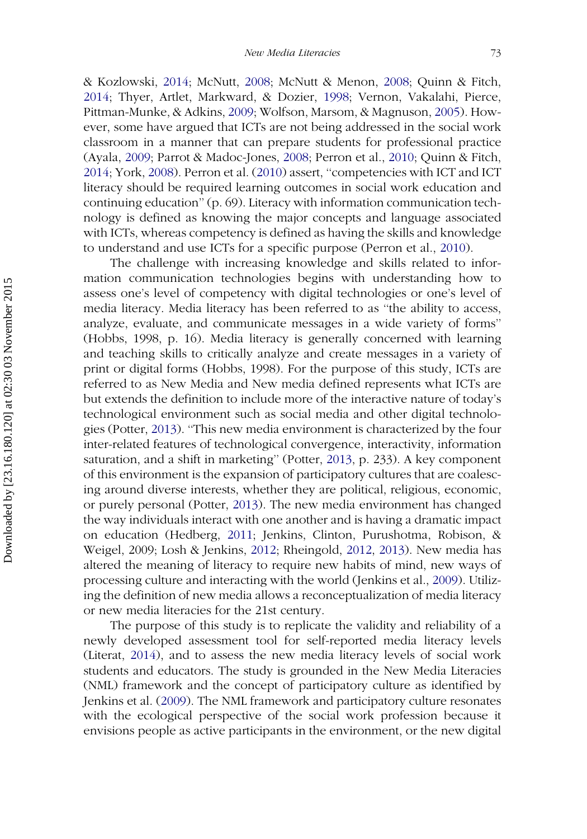& Kozlowski, [2014;](#page-13-0) McNutt, [2008;](#page-14-0) McNutt & Menon, [2008](#page-14-0); Quinn & Fitch, [2014;](#page-14-0) Thyer, Artlet, Markward, & Dozier, [1998;](#page-15-0) Vernon, Vakalahi, Pierce, Pittman-Munke, & Adkins, [2009;](#page-15-0) Wolfson, Marsom, & Magnuson, [2005\)](#page-15-0). However, some have argued that ICTs are not being addressed in the social work classroom in a manner that can prepare students for professional practice (Ayala, [2009](#page-12-0); Parrot & Madoc-Jones, [2008](#page-14-0); Perron et al., [2010](#page-14-0); Quinn & Fitch, [2014;](#page-14-0) York, [2008\)](#page-15-0). Perron et al. [\(2010](#page-14-0)) assert, ''competencies with ICT and ICT literacy should be required learning outcomes in social work education and continuing education'' (p. 69). Literacy with information communication technology is defined as knowing the major concepts and language associated with ICTs, whereas competency is defined as having the skills and knowledge to understand and use ICTs for a specific purpose (Perron et al., [2010\)](#page-14-0).

The challenge with increasing knowledge and skills related to information communication technologies begins with understanding how to assess one's level of competency with digital technologies or one's level of media literacy. Media literacy has been referred to as ''the ability to access, analyze, evaluate, and communicate messages in a wide variety of forms'' (Hobbs, 1998, p. 16). Media literacy is generally concerned with learning and teaching skills to critically analyze and create messages in a variety of print or digital forms (Hobbs, 1998). For the purpose of this study, ICTs are referred to as New Media and New media defined represents what ICTs are but extends the definition to include more of the interactive nature of today's technological environment such as social media and other digital technologies (Potter, [2013\)](#page-14-0). ''This new media environment is characterized by the four inter-related features of technological convergence, interactivity, information saturation, and a shift in marketing'' (Potter, [2013](#page-14-0), p. 233). A key component of this environment is the expansion of participatory cultures that are coalescing around diverse interests, whether they are political, religious, economic, or purely personal (Potter, [2013\)](#page-14-0). The new media environment has changed the way individuals interact with one another and is having a dramatic impact on education (Hedberg, [2011](#page-13-0); Jenkins, Clinton, Purushotma, Robison, & Weigel, 2009; Losh & Jenkins, [2012](#page-14-0); Rheingold, [2012](#page-15-0), [2013](#page-15-0)). New media has altered the meaning of literacy to require new habits of mind, new ways of processing culture and interacting with the world (Jenkins et al., [2009](#page-13-0)). Utilizing the definition of new media allows a reconceptualization of media literacy or new media literacies for the 21st century.

The purpose of this study is to replicate the validity and reliability of a newly developed assessment tool for self-reported media literacy levels (Literat, [2014\)](#page-14-0), and to assess the new media literacy levels of social work students and educators. The study is grounded in the New Media Literacies (NML) framework and the concept of participatory culture as identified by Jenkins et al. [\(2009\)](#page-13-0). The NML framework and participatory culture resonates with the ecological perspective of the social work profession because it envisions people as active participants in the environment, or the new digital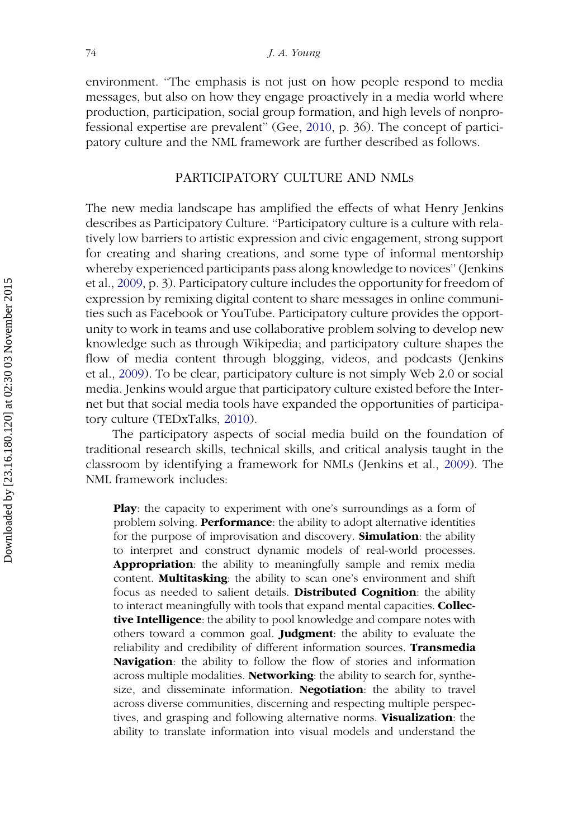environment. ''The emphasis is not just on how people respond to media messages, but also on how they engage proactively in a media world where production, participation, social group formation, and high levels of nonprofessional expertise are prevalent'' (Gee, [2010,](#page-13-0) p. 36). The concept of participatory culture and the NML framework are further described as follows.

# PARTICIPATORY CULTURE AND NMLs

The new media landscape has amplified the effects of what Henry Jenkins describes as Participatory Culture. ''Participatory culture is a culture with relatively low barriers to artistic expression and civic engagement, strong support for creating and sharing creations, and some type of informal mentorship whereby experienced participants pass along knowledge to novices'' (Jenkins et al., [2009](#page-13-0), p. 3). Participatory culture includes the opportunity for freedom of expression by remixing digital content to share messages in online communities such as Facebook or YouTube. Participatory culture provides the opportunity to work in teams and use collaborative problem solving to develop new knowledge such as through Wikipedia; and participatory culture shapes the flow of media content through blogging, videos, and podcasts (Jenkins et al., [2009\)](#page-13-0). To be clear, participatory culture is not simply Web 2.0 or social media. Jenkins would argue that participatory culture existed before the Internet but that social media tools have expanded the opportunities of participatory culture (TEDxTalks, [2010](#page-15-0)).

The participatory aspects of social media build on the foundation of traditional research skills, technical skills, and critical analysis taught in the classroom by identifying a framework for NMLs (Jenkins et al., [2009](#page-13-0)). The NML framework includes:

Play: the capacity to experiment with one's surroundings as a form of problem solving. Performance: the ability to adopt alternative identities for the purpose of improvisation and discovery. **Simulation**: the ability to interpret and construct dynamic models of real-world processes. Appropriation: the ability to meaningfully sample and remix media content. Multitasking: the ability to scan one's environment and shift focus as needed to salient details. Distributed Cognition: the ability to interact meaningfully with tools that expand mental capacities. Collective Intelligence: the ability to pool knowledge and compare notes with others toward a common goal. **Judgment**: the ability to evaluate the reliability and credibility of different information sources. Transmedia Navigation: the ability to follow the flow of stories and information across multiple modalities. **Networking**: the ability to search for, synthesize, and disseminate information. **Negotiation**: the ability to travel across diverse communities, discerning and respecting multiple perspectives, and grasping and following alternative norms. Visualization: the ability to translate information into visual models and understand the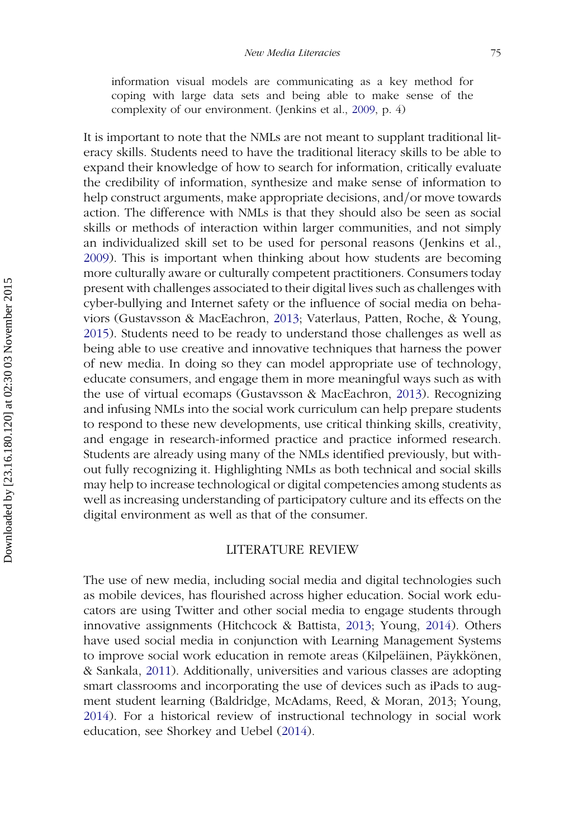information visual models are communicating as a key method for coping with large data sets and being able to make sense of the complexity of our environment. (Jenkins et al., [2009](#page-13-0), p. 4)

It is important to note that the NMLs are not meant to supplant traditional literacy skills. Students need to have the traditional literacy skills to be able to expand their knowledge of how to search for information, critically evaluate the credibility of information, synthesize and make sense of information to help construct arguments, make appropriate decisions, and/or move towards action. The difference with NMLs is that they should also be seen as social skills or methods of interaction within larger communities, and not simply an individualized skill set to be used for personal reasons (Jenkins et al., [2009\)](#page-13-0). This is important when thinking about how students are becoming more culturally aware or culturally competent practitioners. Consumers today present with challenges associated to their digital lives such as challenges with cyber-bullying and Internet safety or the influence of social media on behaviors (Gustavsson & MacEachron, [2013;](#page-13-0) Vaterlaus, Patten, Roche, & Young, [2015\)](#page-15-0). Students need to be ready to understand those challenges as well as being able to use creative and innovative techniques that harness the power of new media. In doing so they can model appropriate use of technology, educate consumers, and engage them in more meaningful ways such as with the use of virtual ecomaps (Gustavsson & MacEachron, [2013](#page-13-0)). Recognizing and infusing NMLs into the social work curriculum can help prepare students to respond to these new developments, use critical thinking skills, creativity, and engage in research-informed practice and practice informed research. Students are already using many of the NMLs identified previously, but without fully recognizing it. Highlighting NMLs as both technical and social skills may help to increase technological or digital competencies among students as well as increasing understanding of participatory culture and its effects on the digital environment as well as that of the consumer.

#### LITERATURE REVIEW

The use of new media, including social media and digital technologies such as mobile devices, has flourished across higher education. Social work educators are using Twitter and other social media to engage students through innovative assignments (Hitchcock & Battista, [2013;](#page-13-0) Young, [2014](#page-15-0)). Others have used social media in conjunction with Learning Management Systems to improve social work education in remote areas (Kilpeläinen, Päykkönen, & Sankala, [2011](#page-14-0)). Additionally, universities and various classes are adopting smart classrooms and incorporating the use of devices such as iPads to augment student learning (Baldridge, McAdams, Reed, & Moran, 2013; Young, [2014\)](#page-15-0). For a historical review of instructional technology in social work education, see Shorkey and Uebel ([2014\)](#page-15-0).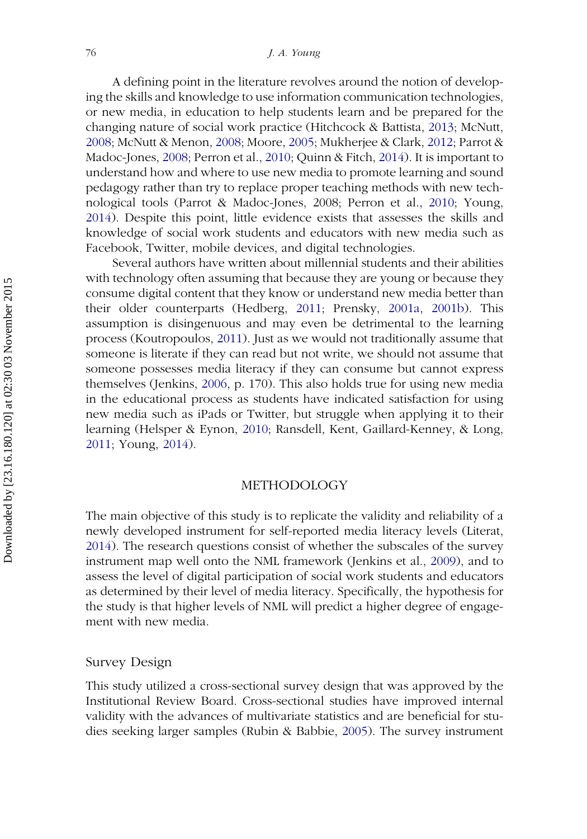A defining point in the literature revolves around the notion of developing the skills and knowledge to use information communication technologies, or new media, in education to help students learn and be prepared for the changing nature of social work practice (Hitchcock & Battista, [2013;](#page-13-0) McNutt, [2008;](#page-14-0) McNutt & Menon, [2008;](#page-14-0) Moore, [2005;](#page-14-0) Mukherjee & Clark, [2012;](#page-14-0) Parrot & Madoc-Jones, [2008](#page-14-0); Perron et al., [2010;](#page-14-0) Quinn & Fitch, [2014](#page-14-0)). It is important to understand how and where to use new media to promote learning and sound pedagogy rather than try to replace proper teaching methods with new technological tools (Parrot & Madoc-Jones, 2008; Perron et al., [2010;](#page-14-0) Young, [2014\)](#page-15-0). Despite this point, little evidence exists that assesses the skills and knowledge of social work students and educators with new media such as Facebook, Twitter, mobile devices, and digital technologies.

Several authors have written about millennial students and their abilities with technology often assuming that because they are young or because they consume digital content that they know or understand new media better than their older counterparts (Hedberg, [2011](#page-13-0); Prensky, [2001a,](#page-14-0) [2001b\)](#page-14-0). This assumption is disingenuous and may even be detrimental to the learning process (Koutropoulos, [2011](#page-14-0)). Just as we would not traditionally assume that someone is literate if they can read but not write, we should not assume that someone possesses media literacy if they can consume but cannot express themselves (Jenkins, [2006,](#page-13-0) p. 170). This also holds true for using new media in the educational process as students have indicated satisfaction for using new media such as iPads or Twitter, but struggle when applying it to their learning (Helsper & Eynon, [2010](#page-13-0); Ransdell, Kent, Gaillard-Kenney, & Long, [2011;](#page-14-0) Young, [2014\)](#page-15-0).

#### METHODOLOGY

The main objective of this study is to replicate the validity and reliability of a newly developed instrument for self-reported media literacy levels (Literat, [2014\)](#page-14-0). The research questions consist of whether the subscales of the survey instrument map well onto the NML framework (Jenkins et al., [2009](#page-13-0)), and to assess the level of digital participation of social work students and educators as determined by their level of media literacy. Specifically, the hypothesis for the study is that higher levels of NML will predict a higher degree of engagement with new media.

#### Survey Design

This study utilized a cross-sectional survey design that was approved by the Institutional Review Board. Cross-sectional studies have improved internal validity with the advances of multivariate statistics and are beneficial for studies seeking larger samples (Rubin & Babbie, [2005\)](#page-15-0). The survey instrument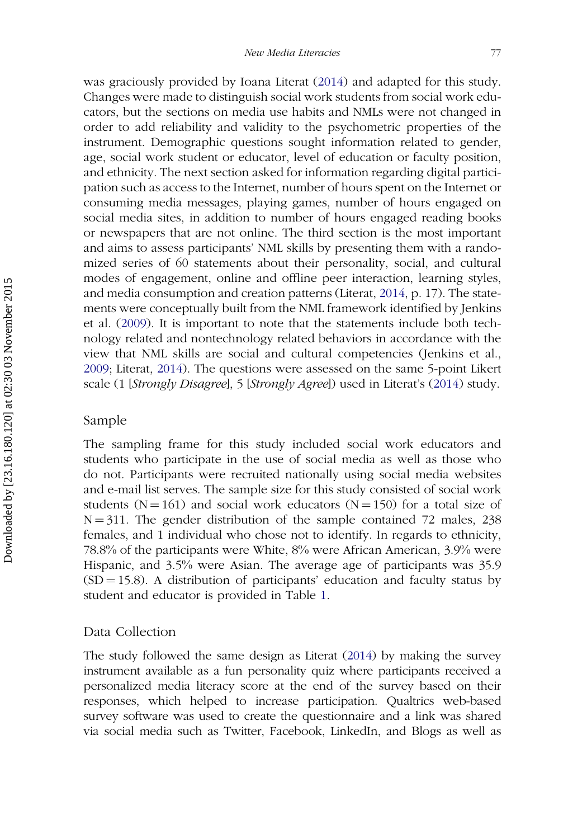was graciously provided by Ioana Literat ([2014\)](#page-14-0) and adapted for this study. Changes were made to distinguish social work students from social work educators, but the sections on media use habits and NMLs were not changed in order to add reliability and validity to the psychometric properties of the instrument. Demographic questions sought information related to gender, age, social work student or educator, level of education or faculty position, and ethnicity. The next section asked for information regarding digital participation such as access to the Internet, number of hours spent on the Internet or consuming media messages, playing games, number of hours engaged on social media sites, in addition to number of hours engaged reading books or newspapers that are not online. The third section is the most important and aims to assess participants' NML skills by presenting them with a randomized series of 60 statements about their personality, social, and cultural modes of engagement, online and offline peer interaction, learning styles, and media consumption and creation patterns (Literat, [2014,](#page-14-0) p. 17). The statements were conceptually built from the NML framework identified by Jenkins et al. ([2009\)](#page-13-0). It is important to note that the statements include both technology related and nontechnology related behaviors in accordance with the view that NML skills are social and cultural competencies (Jenkins et al., [2009;](#page-13-0) Literat, [2014\)](#page-14-0). The questions were assessed on the same 5-point Likert scale (1 [Strongly Disagree], 5 [Strongly Agree]) used in Literat's [\(2014\)](#page-14-0) study.

# Sample

The sampling frame for this study included social work educators and students who participate in the use of social media as well as those who do not. Participants were recruited nationally using social media websites and e-mail list serves. The sample size for this study consisted of social work students (N = 161) and social work educators (N = 150) for a total size of  $N = 311$ . The gender distribution of the sample contained 72 males, 238 females, and 1 individual who chose not to identify. In regards to ethnicity, 78.8% of the participants were White, 8% were African American, 3.9% were Hispanic, and 3.5% were Asian. The average age of participants was 35.9  $(SD = 15.8)$ . A distribution of participants' education and faculty status by student and educator is provided in Table [1.](#page-7-0)

## Data Collection

The study followed the same design as Literat [\(2014](#page-14-0)) by making the survey instrument available as a fun personality quiz where participants received a personalized media literacy score at the end of the survey based on their responses, which helped to increase participation. Qualtrics web-based survey software was used to create the questionnaire and a link was shared via social media such as Twitter, Facebook, LinkedIn, and Blogs as well as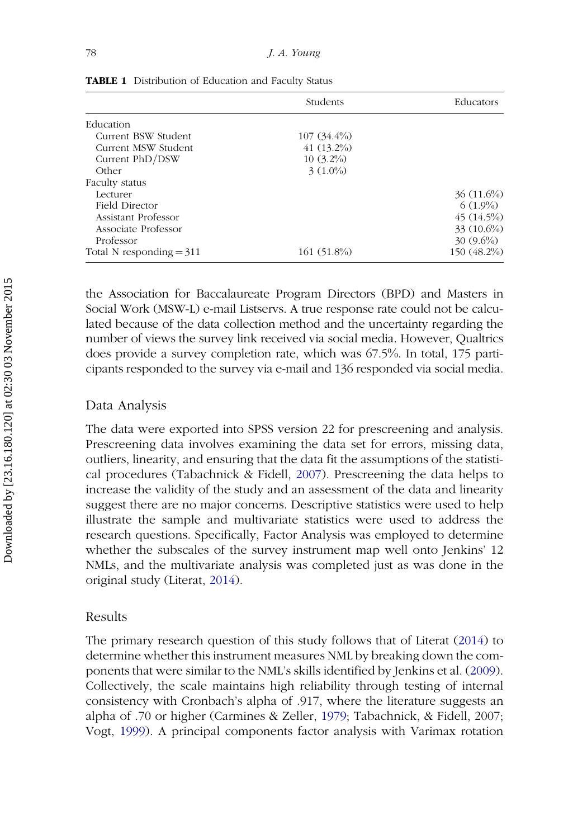|                            | Students      | Educators    |
|----------------------------|---------------|--------------|
| Education                  |               |              |
| Current BSW Student        | $107(34.4\%)$ |              |
| Current MSW Student        | $41(13.2\%)$  |              |
| Current PhD/DSW            | $10(3.2\%)$   |              |
| Other                      | $3(1.0\%)$    |              |
| Faculty status             |               |              |
| Lecturer                   |               | $36(11.6\%)$ |
| Field Director             |               | $6(1.9\%)$   |
| Assistant Professor        |               | $45(14.5\%)$ |
| Associate Professor        |               | $33(10.6\%)$ |
| Professor                  |               | $30(9.6\%)$  |
| Total N responding $=$ 311 | $161(51.8\%)$ | 150 (48.2%)  |

<span id="page-7-0"></span>TABLE 1 Distribution of Education and Faculty Status

the Association for Baccalaureate Program Directors (BPD) and Masters in Social Work (MSW-L) e-mail Listservs. A true response rate could not be calculated because of the data collection method and the uncertainty regarding the number of views the survey link received via social media. However, Qualtrics does provide a survey completion rate, which was 67.5%. In total, 175 participants responded to the survey via e-mail and 136 responded via social media.

#### Data Analysis

The data were exported into SPSS version 22 for prescreening and analysis. Prescreening data involves examining the data set for errors, missing data, outliers, linearity, and ensuring that the data fit the assumptions of the statistical procedures (Tabachnick & Fidell, [2007](#page-15-0)). Prescreening the data helps to increase the validity of the study and an assessment of the data and linearity suggest there are no major concerns. Descriptive statistics were used to help illustrate the sample and multivariate statistics were used to address the research questions. Specifically, Factor Analysis was employed to determine whether the subscales of the survey instrument map well onto Jenkins' 12 NMLs, and the multivariate analysis was completed just as was done in the original study (Literat, [2014\)](#page-14-0).

#### Results

The primary research question of this study follows that of Literat [\(2014](#page-14-0)) to determine whether this instrument measures NML by breaking down the components that were similar to the NML's skills identified by Jenkins et al. ([2009](#page-13-0)). Collectively, the scale maintains high reliability through testing of internal consistency with Cronbach's alpha of .917, where the literature suggests an alpha of .70 or higher (Carmines & Zeller, [1979](#page-13-0); Tabachnick, & Fidell, 2007; Vogt, [1999\)](#page-15-0). A principal components factor analysis with Varimax rotation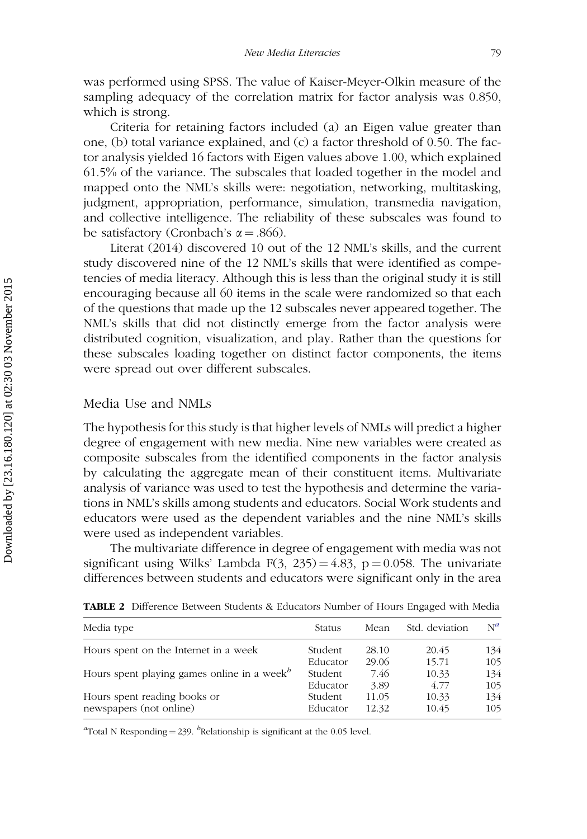<span id="page-8-0"></span>was performed using SPSS. The value of Kaiser-Meyer-Olkin measure of the sampling adequacy of the correlation matrix for factor analysis was 0.850, which is strong.

Criteria for retaining factors included (a) an Eigen value greater than one, (b) total variance explained, and (c) a factor threshold of 0.50. The factor analysis yielded 16 factors with Eigen values above 1.00, which explained 61.5% of the variance. The subscales that loaded together in the model and mapped onto the NML's skills were: negotiation, networking, multitasking, judgment, appropriation, performance, simulation, transmedia navigation, and collective intelligence. The reliability of these subscales was found to be satisfactory (Cronbach's  $\alpha = .866$ ).

Literat (2014) discovered 10 out of the 12 NML's skills, and the current study discovered nine of the 12 NML's skills that were identified as competencies of media literacy. Although this is less than the original study it is still encouraging because all 60 items in the scale were randomized so that each of the questions that made up the 12 subscales never appeared together. The NML's skills that did not distinctly emerge from the factor analysis were distributed cognition, visualization, and play. Rather than the questions for these subscales loading together on distinct factor components, the items were spread out over different subscales.

# Media Use and NMLs

The hypothesis for this study is that higher levels of NMLs will predict a higher degree of engagement with new media. Nine new variables were created as composite subscales from the identified components in the factor analysis by calculating the aggregate mean of their constituent items. Multivariate analysis of variance was used to test the hypothesis and determine the variations in NML's skills among students and educators. Social Work students and educators were used as the dependent variables and the nine NML's skills were used as independent variables.

The multivariate difference in degree of engagement with media was not significant using Wilks' Lambda F(3, 235) = 4.83, p = 0.058. The univariate differences between students and educators were significant only in the area

| Media type                                                                | Status   | Mean  | Std. deviation | $N^a$ |
|---------------------------------------------------------------------------|----------|-------|----------------|-------|
| Hours spent on the Internet in a week                                     | Student  | 28.10 | 20.45          | 134   |
|                                                                           | Educator | 29.06 | 15.71          | 105   |
| Hours spent playing games online in a week <sup><math>\theta</math></sup> | Student  | 7.46  | 10.33          | 134   |
|                                                                           | Educator | 3.89  | 4.77           | 105   |
| Hours spent reading books or                                              | Student  | 11.05 | 10.33          | 134   |
| newspapers (not online)                                                   | Educator | 12.32 | 10.45          | 105   |
|                                                                           |          |       |                |       |

TABLE 2 Difference Between Students & Educators Number of Hours Engaged with Media

<sup>a</sup>Total N Responding = 239. <sup>b</sup>Relationship is significant at the 0.05 level.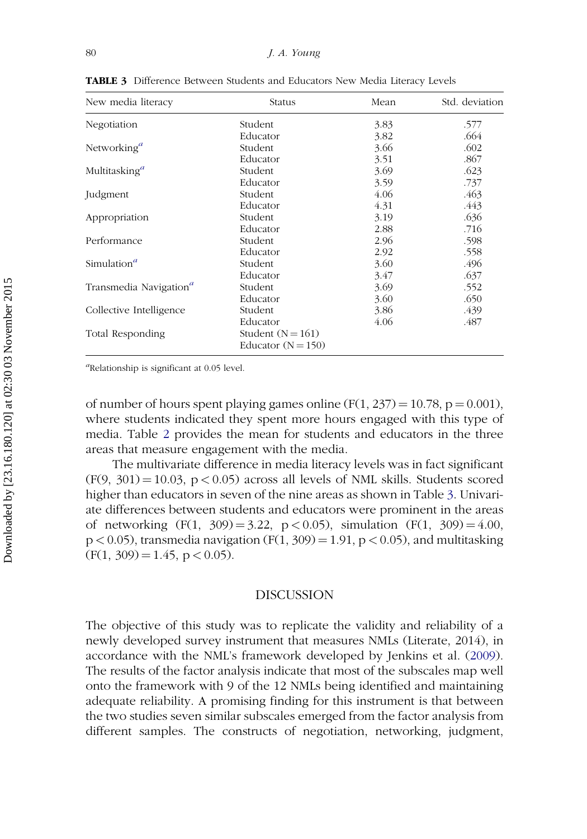| New media literacy                   | Status               | Mean | Std. deviation |
|--------------------------------------|----------------------|------|----------------|
| Negotiation                          | Student              | 3.83 | .577           |
|                                      | Educator             | 3.82 | .664           |
| Networking <sup><math>a</math></sup> | Student              | 3.66 | .602           |
|                                      | Educator             | 3.51 | .867           |
| Multitasking <sup>a</sup>            | Student              | 3.69 | .623           |
|                                      | Educator             | 3.59 | .737           |
| Judgment                             | Student              | 4.06 | .463           |
|                                      | Educator             | 4.31 | .443           |
| Appropriation                        | Student              | 3.19 | .636           |
|                                      | Educator             | 2.88 | .716           |
| Performance                          | Student              | 2.96 | .598           |
|                                      | Educator             | 2.92 | .558           |
| Simulation <sup>a</sup>              | Student              | 3.60 | .496           |
|                                      | Educator             | 3.47 | .637           |
| Transmedia Navigation <sup>a</sup>   | Student              | 3.69 | .552           |
|                                      | Educator             | 3.60 | .650           |
| Collective Intelligence              | Student              | 3.86 | .439           |
|                                      | Educator             | 4.06 | .487           |
| Total Responding                     | Student $(N = 161)$  |      |                |
|                                      | Educator $(N = 150)$ |      |                |

TABLE 3 Difference Between Students and Educators New Media Literacy Levels

<sup>a</sup>Relationship is significant at 0.05 level.

of number of hours spent playing games online  $(F(1, 237) = 10.78, p = 0.001)$ , where students indicated they spent more hours engaged with this type of media. Table [2](#page-8-0) provides the mean for students and educators in the three areas that measure engagement with the media.

The multivariate difference in media literacy levels was in fact significant  $(F(9, 301) = 10.03, p < 0.05)$  across all levels of NML skills. Students scored higher than educators in seven of the nine areas as shown in Table 3. Univariate differences between students and educators were prominent in the areas of networking  $(F(1, 309) = 3.22, p < 0.05)$ , simulation  $(F(1, 309) = 4.00,$  $p < 0.05$ ), transmedia navigation (F(1, 309) = 1.91, p < 0.05), and multitasking  $(F(1, 309) = 1.45, p < 0.05).$ 

#### DISCUSSION

The objective of this study was to replicate the validity and reliability of a newly developed survey instrument that measures NMLs (Literate, 2014), in accordance with the NML's framework developed by Jenkins et al. ([2009](#page-13-0)). The results of the factor analysis indicate that most of the subscales map well onto the framework with 9 of the 12 NMLs being identified and maintaining adequate reliability. A promising finding for this instrument is that between the two studies seven similar subscales emerged from the factor analysis from different samples. The constructs of negotiation, networking, judgment,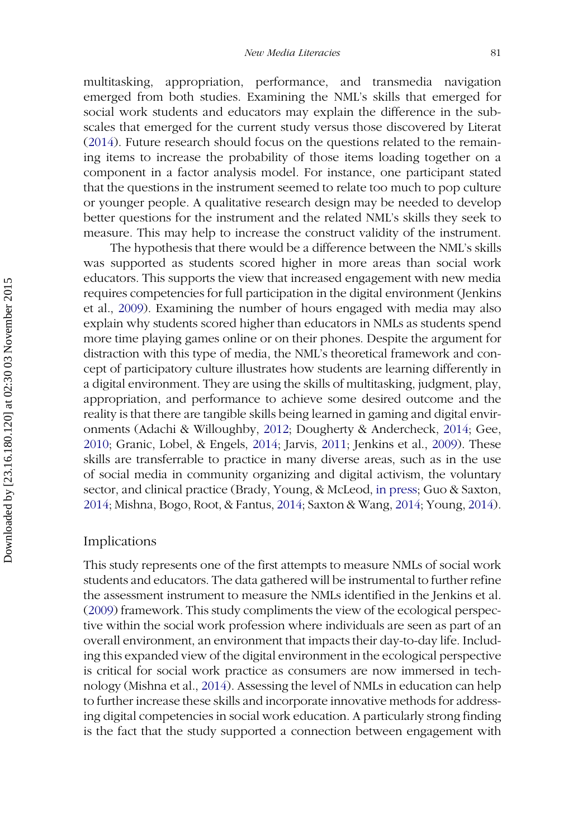multitasking, appropriation, performance, and transmedia navigation emerged from both studies. Examining the NML's skills that emerged for social work students and educators may explain the difference in the subscales that emerged for the current study versus those discovered by Literat ([2014\)](#page-14-0). Future research should focus on the questions related to the remaining items to increase the probability of those items loading together on a component in a factor analysis model. For instance, one participant stated that the questions in the instrument seemed to relate too much to pop culture or younger people. A qualitative research design may be needed to develop better questions for the instrument and the related NML's skills they seek to measure. This may help to increase the construct validity of the instrument.

The hypothesis that there would be a difference between the NML's skills was supported as students scored higher in more areas than social work educators. This supports the view that increased engagement with new media requires competencies for full participation in the digital environment (Jenkins et al., [2009](#page-13-0)). Examining the number of hours engaged with media may also explain why students scored higher than educators in NMLs as students spend more time playing games online or on their phones. Despite the argument for distraction with this type of media, the NML's theoretical framework and concept of participatory culture illustrates how students are learning differently in a digital environment. They are using the skills of multitasking, judgment, play, appropriation, and performance to achieve some desired outcome and the reality is that there are tangible skills being learned in gaming and digital environments (Adachi & Willoughby, [2012;](#page-12-0) Dougherty & Andercheck, [2014](#page-13-0); Gee, [2010](#page-13-0); Granic, Lobel, & Engels, [2014](#page-13-0); Jarvis, [2011;](#page-13-0) Jenkins et al., [2009](#page-13-0)). These skills are transferrable to practice in many diverse areas, such as in the use of social media in community organizing and digital activism, the voluntary sector, and clinical practice (Brady, Young, & McLeod, [in press](#page-13-0); Guo & Saxton, [2014](#page-13-0); Mishna, Bogo, Root, & Fantus, [2014](#page-14-0); Saxton & Wang, [2014;](#page-15-0) Young, [2014\)](#page-15-0).

#### Implications

This study represents one of the first attempts to measure NMLs of social work students and educators. The data gathered will be instrumental to further refine the assessment instrument to measure the NMLs identified in the Jenkins et al. ([2009](#page-13-0)) framework. This study compliments the view of the ecological perspective within the social work profession where individuals are seen as part of an overall environment, an environment that impacts their day-to-day life. Including this expanded view of the digital environment in the ecological perspective is critical for social work practice as consumers are now immersed in technology (Mishna et al., [2014\)](#page-14-0). Assessing the level of NMLs in education can help to further increase these skills and incorporate innovative methods for addressing digital competencies in social work education. A particularly strong finding is the fact that the study supported a connection between engagement with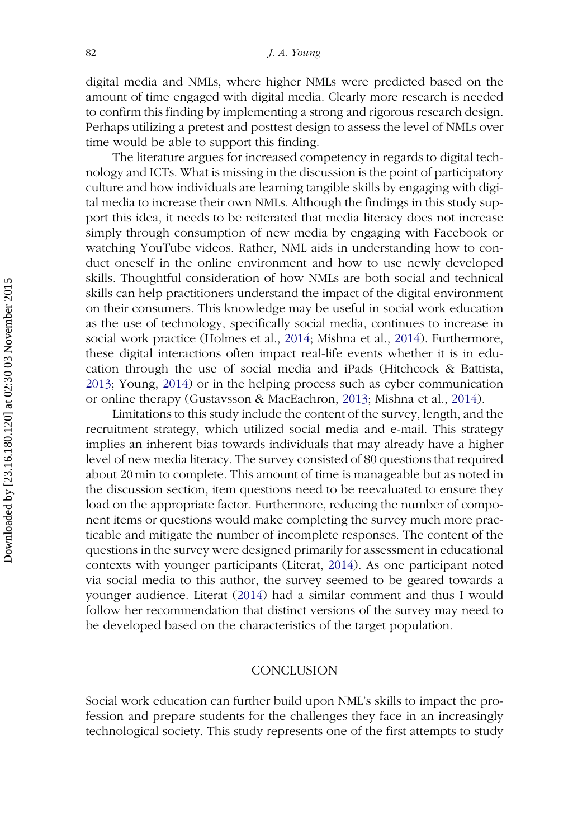digital media and NMLs, where higher NMLs were predicted based on the amount of time engaged with digital media. Clearly more research is needed to confirm this finding by implementing a strong and rigorous research design. Perhaps utilizing a pretest and posttest design to assess the level of NMLs over time would be able to support this finding.

The literature argues for increased competency in regards to digital technology and ICTs. What is missing in the discussion is the point of participatory culture and how individuals are learning tangible skills by engaging with digital media to increase their own NMLs. Although the findings in this study support this idea, it needs to be reiterated that media literacy does not increase simply through consumption of new media by engaging with Facebook or watching YouTube videos. Rather, NML aids in understanding how to conduct oneself in the online environment and how to use newly developed skills. Thoughtful consideration of how NMLs are both social and technical skills can help practitioners understand the impact of the digital environment on their consumers. This knowledge may be useful in social work education as the use of technology, specifically social media, continues to increase in social work practice (Holmes et al., [2014](#page-13-0); Mishna et al., [2014\)](#page-14-0). Furthermore, these digital interactions often impact real-life events whether it is in education through the use of social media and iPads (Hitchcock & Battista, [2013;](#page-13-0) Young, [2014\)](#page-15-0) or in the helping process such as cyber communication or online therapy (Gustavsson & MacEachron, [2013;](#page-13-0) Mishna et al., [2014\)](#page-14-0).

Limitations to this study include the content of the survey, length, and the recruitment strategy, which utilized social media and e-mail. This strategy implies an inherent bias towards individuals that may already have a higher level of new media literacy. The survey consisted of 80 questions that required about 20 min to complete. This amount of time is manageable but as noted in the discussion section, item questions need to be reevaluated to ensure they load on the appropriate factor. Furthermore, reducing the number of component items or questions would make completing the survey much more practicable and mitigate the number of incomplete responses. The content of the questions in the survey were designed primarily for assessment in educational contexts with younger participants (Literat, [2014\)](#page-14-0). As one participant noted via social media to this author, the survey seemed to be geared towards a younger audience. Literat ([2014](#page-14-0)) had a similar comment and thus I would follow her recommendation that distinct versions of the survey may need to be developed based on the characteristics of the target population.

## **CONCLUSION**

Social work education can further build upon NML's skills to impact the profession and prepare students for the challenges they face in an increasingly technological society. This study represents one of the first attempts to study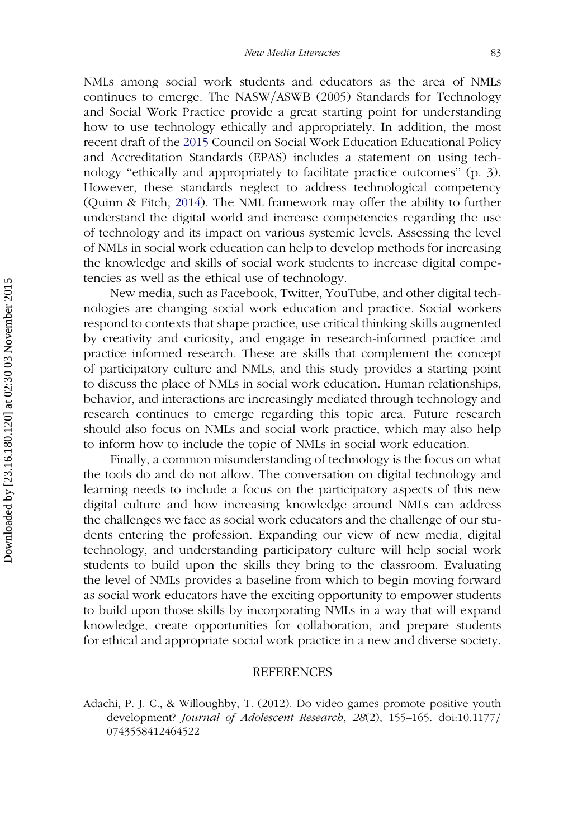<span id="page-12-0"></span>NMLs among social work students and educators as the area of NMLs continues to emerge. The NASW/ASWB (2005) Standards for Technology and Social Work Practice provide a great starting point for understanding how to use technology ethically and appropriately. In addition, the most recent draft of the [2015](#page-13-0) Council on Social Work Education Educational Policy and Accreditation Standards (EPAS) includes a statement on using technology ''ethically and appropriately to facilitate practice outcomes'' (p. 3). However, these standards neglect to address technological competency (Quinn & Fitch, [2014](#page-14-0)). The NML framework may offer the ability to further understand the digital world and increase competencies regarding the use of technology and its impact on various systemic levels. Assessing the level of NMLs in social work education can help to develop methods for increasing the knowledge and skills of social work students to increase digital competencies as well as the ethical use of technology.

New media, such as Facebook, Twitter, YouTube, and other digital technologies are changing social work education and practice. Social workers respond to contexts that shape practice, use critical thinking skills augmented by creativity and curiosity, and engage in research-informed practice and practice informed research. These are skills that complement the concept of participatory culture and NMLs, and this study provides a starting point to discuss the place of NMLs in social work education. Human relationships, behavior, and interactions are increasingly mediated through technology and research continues to emerge regarding this topic area. Future research should also focus on NMLs and social work practice, which may also help to inform how to include the topic of NMLs in social work education.

Finally, a common misunderstanding of technology is the focus on what the tools do and do not allow. The conversation on digital technology and learning needs to include a focus on the participatory aspects of this new digital culture and how increasing knowledge around NMLs can address the challenges we face as social work educators and the challenge of our students entering the profession. Expanding our view of new media, digital technology, and understanding participatory culture will help social work students to build upon the skills they bring to the classroom. Evaluating the level of NMLs provides a baseline from which to begin moving forward as social work educators have the exciting opportunity to empower students to build upon those skills by incorporating NMLs in a way that will expand knowledge, create opportunities for collaboration, and prepare students for ethical and appropriate social work practice in a new and diverse society.

#### REFERENCES

Adachi, P. J. C., & Willoughby, T. (2012). Do video games promote positive youth development? Journal of Adolescent Research, 28(2), 155-165. doi:10.1177/ 0743558412464522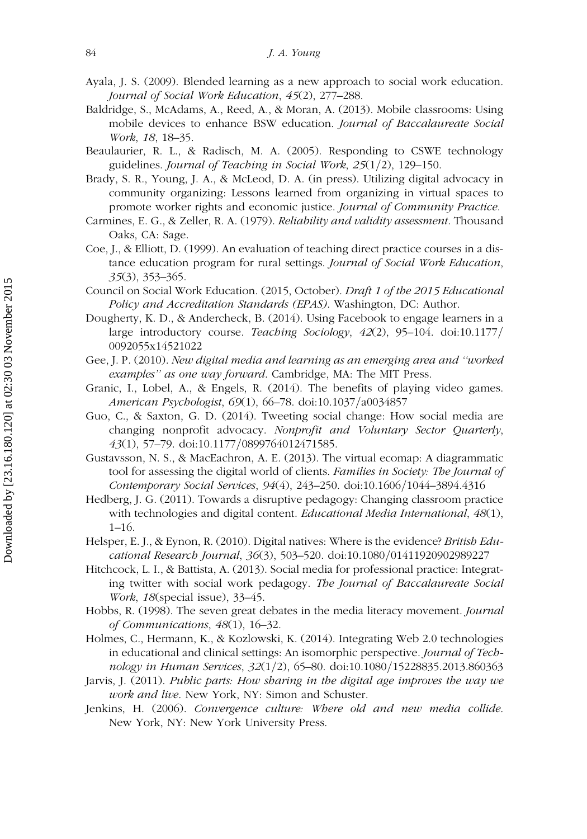- <span id="page-13-0"></span>Ayala, J. S. (2009). Blended learning as a new approach to social work education. Journal of Social Work Education, 45(2), 277–288.
- Baldridge, S., McAdams, A., Reed, A., & Moran, A. (2013). Mobile classrooms: Using mobile devices to enhance BSW education. Journal of Baccalaureate Social Work, 18, 18–35.
- Beaulaurier, R. L., & Radisch, M. A. (2005). Responding to CSWE technology guidelines. Journal of Teaching in Social Work,  $25(1/2)$ , 129–150.
- Brady, S. R., Young, J. A., & McLeod, D. A. (in press). Utilizing digital advocacy in community organizing: Lessons learned from organizing in virtual spaces to promote worker rights and economic justice. Journal of Community Practice.
- Carmines, E. G., & Zeller, R. A. (1979). Reliability and validity assessment. Thousand Oaks, CA: Sage.
- Coe, J., & Elliott, D. (1999). An evaluation of teaching direct practice courses in a distance education program for rural settings. Journal of Social Work Education, 35(3), 353–365.
- Council on Social Work Education. (2015, October). Draft 1 of the 2015 Educational Policy and Accreditation Standards (EPAS). Washington, DC: Author.
- Dougherty, K. D., & Andercheck, B. (2014). Using Facebook to engage learners in a large introductory course. Teaching Sociology,  $42(2)$ , 95–104. doi:10.1177/ 0092055x14521022
- Gee, J. P. (2010). New digital media and learning as an emerging area and ''worked examples" as one way forward. Cambridge, MA: The MIT Press.
- Granic, I., Lobel, A., & Engels, R. (2014). The benefits of playing video games. American Psychologist, 69(1), 66–78. doi:10.1037/a0034857
- Guo, C., & Saxton, G. D. (2014). Tweeting social change: How social media are changing nonprofit advocacy. Nonprofit and Voluntary Sector Quarterly, 43(1), 57-79. doi:10.1177/0899764012471585.
- Gustavsson, N. S., & MacEachron, A. E. (2013). The virtual ecomap: A diagrammatic tool for assessing the digital world of clients. Families in Society: The Journal of Contemporary Social Services, 94(4), 243-250. doi:10.1606/1044-3894.4316
- Hedberg, J. G. (2011). Towards a disruptive pedagogy: Changing classroom practice with technologies and digital content. *Educational Media International*, 48(1), 1–16.
- Helsper, E. J., & Eynon, R. (2010). Digital natives: Where is the evidence? British Educational Research Journal, 36(3), 503-520. doi:10.1080/01411920902989227
- Hitchcock, L. I., & Battista, A. (2013). Social media for professional practice: Integrating twitter with social work pedagogy. The Journal of Baccalaureate Social Work, 18(special issue), 33–45.
- Hobbs, R. (1998). The seven great debates in the media literacy movement. Journal of Communications, 48(1), 16–32.
- Holmes, C., Hermann, K., & Kozlowski, K. (2014). Integrating Web 2.0 technologies in educational and clinical settings: An isomorphic perspective. Journal of Technology in Human Services, 32(1/2), 65–80. doi:10.1080/15228835.2013.860363
- Jarvis, J. (2011). Public parts: How sharing in the digital age improves the way we work and live. New York, NY: Simon and Schuster.
- Jenkins, H. (2006). Convergence culture: Where old and new media collide. New York, NY: New York University Press.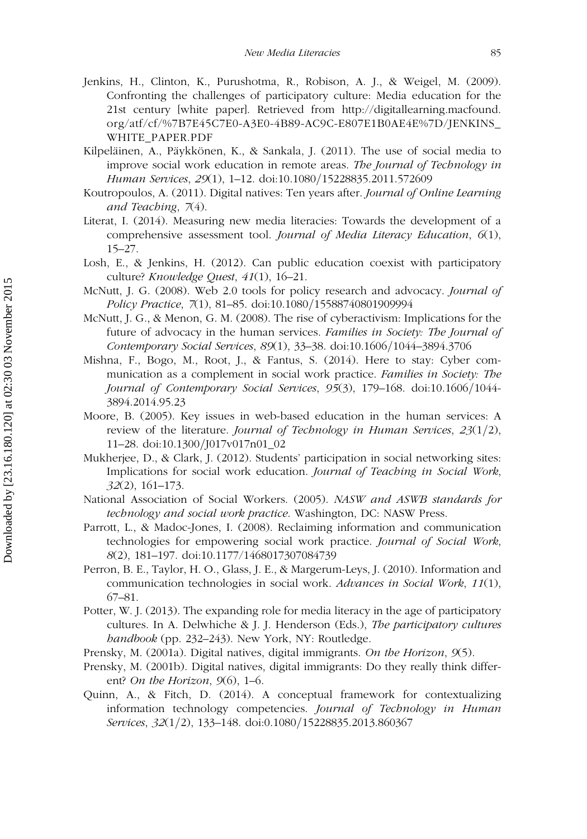- <span id="page-14-0"></span>Jenkins, H., Clinton, K., Purushotma, R., Robison, A. J., & Weigel, M. (2009). Confronting the challenges of participatory culture: Media education for the 21st century [white paper]. Retrieved from http://digitallearning.macfound. org/atf/cf/%7B7E45C7E0-A3E0-4B89-AC9C-E807E1B0AE4E%7D/JENKINS\_ WHITE\_PAPER.PDF
- Kilpeläinen, A., Päykkönen, K., & Sankala, J. (2011). The use of social media to improve social work education in remote areas. The Journal of Technology in Human Services, 29(1), 1–12. doi:10.1080/15228835.2011.572609
- Koutropoulos, A. (2011). Digital natives: Ten years after. Journal of Online Learning and Teaching, 7(4).
- Literat, I. (2014). Measuring new media literacies: Towards the development of a comprehensive assessment tool. Journal of Media Literacy Education, 6(1), 15–27.
- Losh, E., & Jenkins, H. (2012). Can public education coexist with participatory culture? Knowledge Quest, 41(1), 16–21.
- McNutt, J. G. (2008). Web 2.0 tools for policy research and advocacy. *Journal of* Policy Practice, 7(1), 81–85. doi:10.1080/15588740801909994
- McNutt, J. G., & Menon, G. M. (2008). The rise of cyberactivism: Implications for the future of advocacy in the human services. Families in Society: The Journal of Contemporary Social Services, 89(1), 33–38. doi:10.1606/1044–3894.3706
- Mishna, F., Bogo, M., Root, J., & Fantus, S. (2014). Here to stay: Cyber communication as a complement in social work practice. Families in Society: The Journal of Contemporary Social Services, 95(3), 179–168. doi:10.1606/1044-3894.2014.95.23
- Moore, B. (2005). Key issues in web-based education in the human services: A review of the literature. Journal of Technology in Human Services,  $23(1/2)$ , 11–28. doi:10.1300/J017v017n01\_02
- Mukherjee, D., & Clark, J. (2012). Students' participation in social networking sites: Implications for social work education. Journal of Teaching in Social Work, 32(2), 161–173.
- National Association of Social Workers. (2005). NASW and ASWB standards for technology and social work practice. Washington, DC: NASW Press.
- Parrott, L., & Madoc-Jones, I. (2008). Reclaiming information and communication technologies for empowering social work practice. Journal of Social Work, 8(2), 181–197. doi:10.1177/1468017307084739
- Perron, B. E., Taylor, H. O., Glass, J. E., & Margerum-Leys, J. (2010). Information and communication technologies in social work. Advances in Social Work, 11(1), 67–81.
- Potter, W. J. (2013). The expanding role for media literacy in the age of participatory cultures. In A. Delwhiche & J. J. Henderson (Eds.), The participatory cultures handbook (pp. 232–243). New York, NY: Routledge.
- Prensky, M. (2001a). Digital natives, digital immigrants. On the Horizon, 9(5).
- Prensky, M. (2001b). Digital natives, digital immigrants: Do they really think different? On the Horizon,  $9(6)$ , 1–6.
- Quinn, A., & Fitch, D. (2014). A conceptual framework for contextualizing information technology competencies. Journal of Technology in Human Services, 32(1/2), 133-148. doi:0.1080/15228835.2013.860367